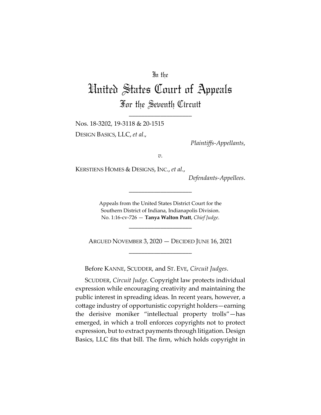### In the

# United States Court of Appeals For the Seventh Circuit

\_\_\_\_\_\_\_\_\_\_\_\_\_\_\_\_\_\_\_\_

Nos. 18-3202, 19-3118 & 20-1515

DESIGN BASICS, LLC, *et al*.,

*Plaintiffs-Appellants*,

*v.*

KERSTIENS HOMES & DESIGNS, INC., *et al*.,

*Defendants-Appellees*.

Appeals from the United States District Court for the Southern District of Indiana, Indianapolis Division. No. 1:16-cv-726 — **Tanya Walton Pratt**, *Chief Judge*.

\_\_\_\_\_\_\_\_\_\_\_\_\_\_\_\_\_\_\_\_

\_\_\_\_\_\_\_\_\_\_\_\_\_\_\_\_\_\_\_\_

ARGUED NOVEMBER 3, 2020 — DECIDED JUNE 16, 2021 \_\_\_\_\_\_\_\_\_\_\_\_\_\_\_\_\_\_\_\_

Before KANNE, SCUDDER, and ST. EVE, *Circuit Judges*.

SCUDDER, *Circuit Judge*. Copyright law protects individual expression while encouraging creativity and maintaining the public interest in spreading ideas. In recent years, however, a cottage industry of opportunistic copyright holders—earning the derisive moniker "intellectual property trolls"—has emerged, in which a troll enforces copyrights not to protect expression, but to extract payments through litigation. Design Basics, LLC fits that bill. The firm, which holds copyright in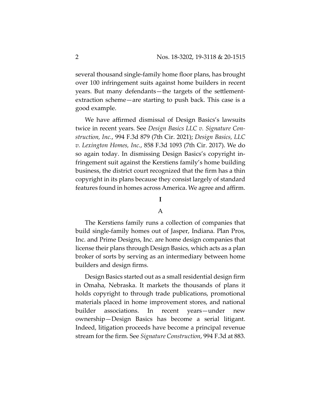several thousand single-family home floor plans, has brought over 100 infringement suits against home builders in recent years. But many defendants—the targets of the settlementextraction scheme—are starting to push back. This case is a good example.

We have affirmed dismissal of Design Basics's lawsuits twice in recent years. See *Design Basics LLC v. Signature Construction, Inc.*, 994 F.3d 879 (7th Cir. 2021); *Design Basics, LLC v. Lexington Homes, Inc.*, 858 F.3d 1093 (7th Cir. 2017). We do so again today. In dismissing Design Basics's copyright infringement suit against the Kerstiens family's home building business, the district court recognized that the firm has a thin copyright in its plans because they consist largely of standard features found in homes across America. We agree and affirm.

## **I**

#### A

The Kerstiens family runs a collection of companies that build single-family homes out of Jasper, Indiana. Plan Pros, Inc. and Prime Designs, Inc. are home design companies that license their plans through Design Basics, which acts as a plan broker of sorts by serving as an intermediary between home builders and design firms.

Design Basics started out as a small residential design firm in Omaha, Nebraska. It markets the thousands of plans it holds copyright to through trade publications, promotional materials placed in home improvement stores, and national builder associations. In recent years—under new ownership—Design Basics has become a serial litigant. Indeed, litigation proceeds have become a principal revenue stream for the firm. See *Signature Construction*, 994 F.3d at 883.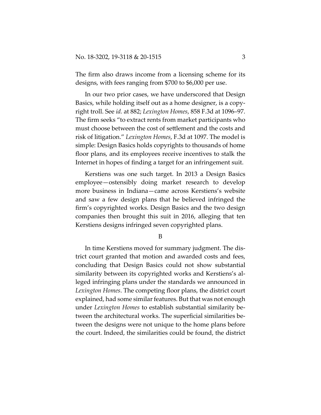The firm also draws income from a licensing scheme for its designs, with fees ranging from \$700 to \$6,000 per use.

In our two prior cases, we have underscored that Design Basics, while holding itself out as a home designer, is a copyright troll. See *id.* at 882; *Lexington Homes*, 858 F.3d at 1096–97. The firm seeks "to extract rents from market participants who must choose between the cost of settlement and the costs and risk of litigation." *Lexington Homes*, F.3d at 1097. The model is simple: Design Basics holds copyrights to thousands of home floor plans, and its employees receive incentives to stalk the Internet in hopes of finding a target for an infringement suit.

Kerstiens was one such target. In 2013 a Design Basics employee—ostensibly doing market research to develop more business in Indiana—came across Kerstiens's website and saw a few design plans that he believed infringed the firm's copyrighted works. Design Basics and the two design companies then brought this suit in 2016, alleging that ten Kerstiens designs infringed seven copyrighted plans.

B

In time Kerstiens moved for summary judgment. The district court granted that motion and awarded costs and fees, concluding that Design Basics could not show substantial similarity between its copyrighted works and Kerstiens's alleged infringing plans under the standards we announced in *Lexington Homes*. The competing floor plans, the district court explained, had some similar features. But that was not enough under *Lexington Homes* to establish substantial similarity between the architectural works. The superficial similarities between the designs were not unique to the home plans before the court. Indeed, the similarities could be found, the district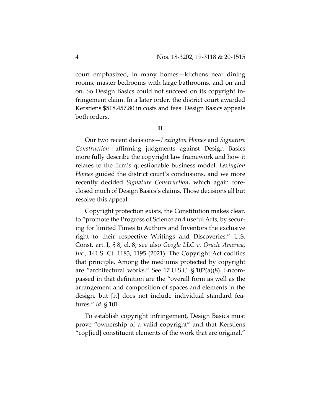court emphasized, in many homes—kitchens near dining rooms, master bedrooms with large bathrooms, and on and on. So Design Basics could not succeed on its copyright infringement claim. In a later order, the district court awarded Kerstiens \$518,457.80 in costs and fees. Design Basics appeals both orders.

**II** 

Our two recent decisions—*Lexington Homes* and *Signature Construction*—affirming judgments against Design Basics more fully describe the copyright law framework and how it relates to the firm's questionable business model. *Lexington Homes* guided the district court's conclusions, and we more recently decided *Signature Construction*, which again foreclosed much of Design Basics's claims. Those decisions all but resolve this appeal.

Copyright protection exists, the Constitution makes clear, to "promote the Progress of Science and useful Arts, by securing for limited Times to Authors and Inventors the exclusive right to their respective Writings and Discoveries." U.S. Const. art. I, § 8, cl. 8; see also *Google LLC v. Oracle America, Inc.*, 141 S. Ct. 1183, 1195 (2021). The Copyright Act codifies that principle. Among the mediums protected by copyright are "architectural works." See 17 U.S.C. § 102(a)(8). Encompassed in that definition are the "overall form as well as the arrangement and composition of spaces and elements in the design, but [it] does not include individual standard features." *Id*. § 101.

To establish copyright infringement, Design Basics must prove "ownership of a valid copyright" and that Kerstiens "cop[ied] constituent elements of the work that are original."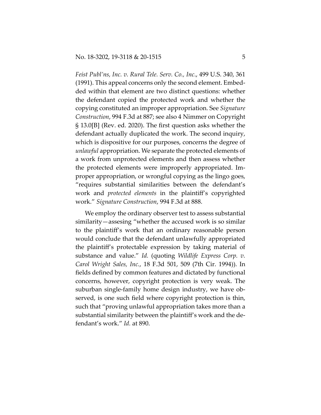*Feist Publ'ns, Inc. v. Rural Tele. Serv. Co., Inc*., 499 U.S. 340, 361 (1991). This appeal concerns only the second element. Embedded within that element are two distinct questions: whether the defendant copied the protected work and whether the copying constituted an improper appropriation. See *Signature Construction*, 994 F.3d at 887; see also 4 Nimmer on Copyright § 13.0[B] (Rev. ed. 2020). The first question asks whether the defendant actually duplicated the work. The second inquiry, which is dispositive for our purposes, concerns the degree of *unlawful* appropriation. We separate the protected elements of a work from unprotected elements and then assess whether the protected elements were improperly appropriated. Improper appropriation, or wrongful copying as the lingo goes, "requires substantial similarities between the defendant's work and *protected elements* in the plaintiff's copyrighted work." *Signature Construction*, 994 F.3d at 888.

We employ the ordinary observer test to assess substantial similarity—assesing "whether the accused work is so similar to the plaintiff's work that an ordinary reasonable person would conclude that the defendant unlawfully appropriated the plaintiff's protectable expression by taking material of substance and value." *Id.* (quoting *Wildlife Express Corp. v. Carol Wright Sales, Inc.*, 18 F.3d 501, 509 (7th Cir. 1994)). In fields defined by common features and dictated by functional concerns, however, copyright protection is very weak. The suburban single-family home design industry, we have observed, is one such field where copyright protection is thin, such that "proving unlawful appropriation takes more than a substantial similarity between the plaintiff's work and the defendant's work." *Id.* at 890.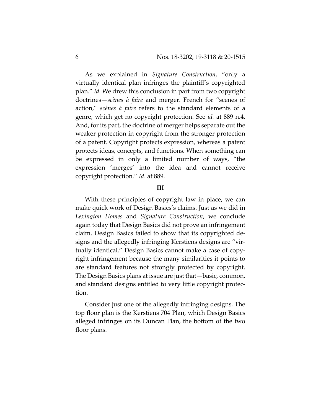As we explained in *Signature Construction*, "only a virtually identical plan infringes the plaintiff's copyrighted plan." *Id.* We drew this conclusion in part from two copyright doctrines—*scènes à faire* and merger. French for "scenes of action," *scènes à faire* refers to the standard elements of a genre, which get no copyright protection. See *id.* at 889 n.4. And, for its part, the doctrine of merger helps separate out the weaker protection in copyright from the stronger protection of a patent. Copyright protects expression, whereas a patent protects ideas, concepts, and functions. When something can be expressed in only a limited number of ways, "the expression 'merges' into the idea and cannot receive copyright protection." *Id*. at 889.

#### **III**

With these principles of copyright law in place, we can make quick work of Design Basics's claims. Just as we did in *Lexington Homes* and *Signature Construction*, we conclude again today that Design Basics did not prove an infringement claim. Design Basics failed to show that its copyrighted designs and the allegedly infringing Kerstiens designs are "virtually identical." Design Basics cannot make a case of copyright infringement because the many similarities it points to are standard features not strongly protected by copyright. The Design Basics plans at issue are just that—basic, common, and standard designs entitled to very little copyright protection.

Consider just one of the allegedly infringing designs. The top floor plan is the Kerstiens 704 Plan, which Design Basics alleged infringes on its Duncan Plan, the bottom of the two floor plans.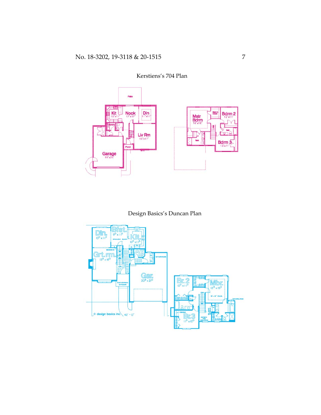

Kerstiens's 704 Plan

Design Basics's Duncan Plan

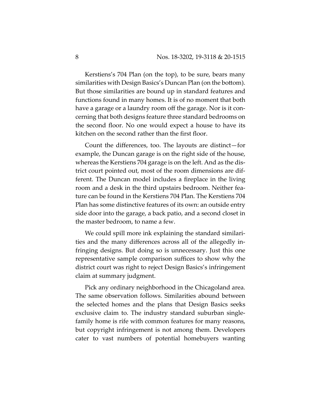Kerstiens's 704 Plan (on the top), to be sure, bears many similarities with Design Basics's Duncan Plan (on the bottom). But those similarities are bound up in standard features and functions found in many homes. It is of no moment that both have a garage or a laundry room off the garage. Nor is it concerning that both designs feature three standard bedrooms on the second floor. No one would expect a house to have its kitchen on the second rather than the first floor.

Count the differences, too. The layouts are distinct—for example, the Duncan garage is on the right side of the house, whereas the Kerstiens 704 garage is on the left. And as the district court pointed out, most of the room dimensions are different. The Duncan model includes a fireplace in the living room and a desk in the third upstairs bedroom. Neither feature can be found in the Kerstiens 704 Plan. The Kerstiens 704 Plan has some distinctive features of its own: an outside entry side door into the garage, a back patio, and a second closet in the master bedroom, to name a few.

We could spill more ink explaining the standard similarities and the many differences across all of the allegedly infringing designs. But doing so is unnecessary. Just this one representative sample comparison suffices to show why the district court was right to reject Design Basics's infringement claim at summary judgment.

Pick any ordinary neighborhood in the Chicagoland area. The same observation follows. Similarities abound between the selected homes and the plans that Design Basics seeks exclusive claim to. The industry standard suburban singlefamily home is rife with common features for many reasons, but copyright infringement is not among them. Developers cater to vast numbers of potential homebuyers wanting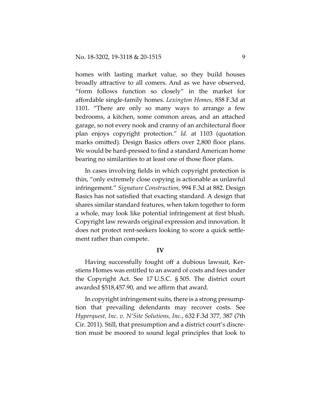homes with lasting market value, so they build houses broadly attractive to all comers. And as we have observed, "form follows function so closely" in the market for affordable single-family homes. *Lexington Homes*, 858 F.3d at 1101. "There are only so many ways to arrange a few bedrooms, a kitchen, some common areas, and an attached garage, so not every nook and cranny of an architectural floor plan enjoys copyright protection." *Id.* at 1103 (quotation marks omitted). Design Basics offers over 2,800 floor plans. We would be hard-pressed to find a standard American home bearing no similarities to at least one of those floor plans.

In cases involving fields in which copyright protection is thin, "only extremely close copying is actionable as unlawful infringement." *Signature Construction*, 994 F.3d at 882. Design Basics has not satisfied that exacting standard. A design that shares similar standard features, when taken together to form a whole, may look like potential infringement at first blush. Copyright law rewards original expression and innovation. It does not protect rent-seekers looking to score a quick settlement rather than compete.

#### **IV**

Having successfully fought off a dubious lawsuit, Kerstiens Homes was entitled to an award of costs and fees under the Copyright Act. See 17 U.S.C. § 505. The district court awarded \$518,457.90, and we affirm that award.

In copyright infringement suits, there is a strong presumption that prevailing defendants may recover costs. See *Hyperquest, Inc. v. N'Site Solutions, Inc.*, 632 F.3d 377, 387 (7th Cir. 2011). Still, that presumption and a district court's discretion must be moored to sound legal principles that look to